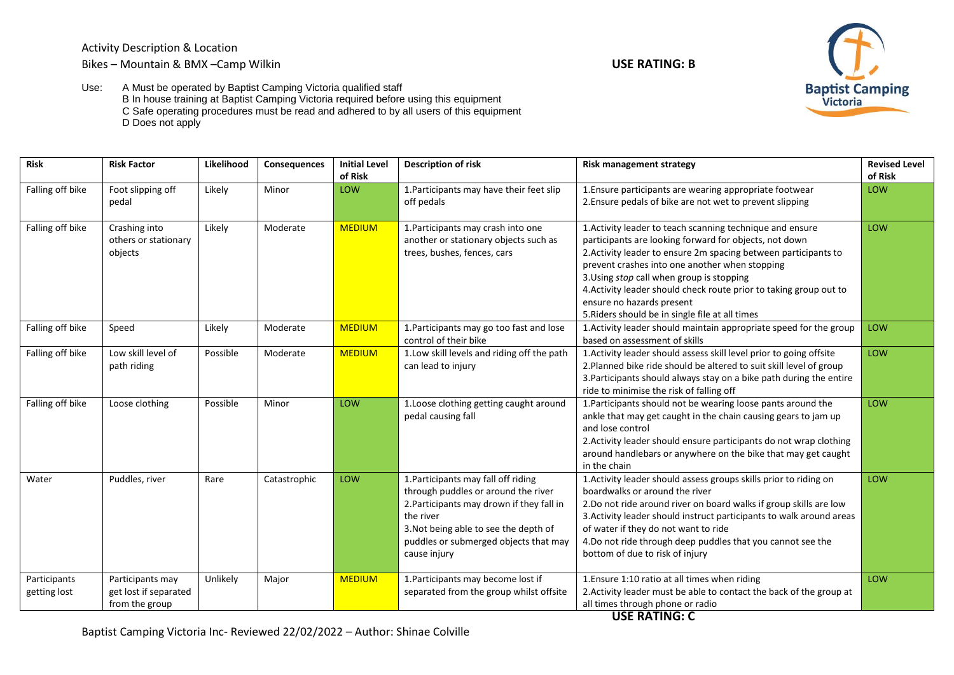Activity Description & Location

## Bikes – Mountain & BMX –Camp Wilkin **USE RATING: B**





Use: A Must be operated by Baptist Camping Victoria qualified staff B In house training at Baptist Camping Victoria required before using this equipment C Safe operating procedures must be read and adhered to by all users of this equipment D Does not apply

| <b>Risk</b>                  | <b>Risk Factor</b>                                          | Likelihood | Consequences | <b>Initial Level</b><br>of Risk | <b>Description of risk</b>                                                                                                                                                                                                             | <b>Risk management strategy</b>                                                                                                                                                                                                                                                                                                                                                                                                             | <b>Revised Level</b><br>of Risk |
|------------------------------|-------------------------------------------------------------|------------|--------------|---------------------------------|----------------------------------------------------------------------------------------------------------------------------------------------------------------------------------------------------------------------------------------|---------------------------------------------------------------------------------------------------------------------------------------------------------------------------------------------------------------------------------------------------------------------------------------------------------------------------------------------------------------------------------------------------------------------------------------------|---------------------------------|
| Falling off bike             | Foot slipping off<br>pedal                                  | Likely     | Minor        | LOW                             | 1. Participants may have their feet slip<br>off pedals                                                                                                                                                                                 | 1. Ensure participants are wearing appropriate footwear<br>2. Ensure pedals of bike are not wet to prevent slipping                                                                                                                                                                                                                                                                                                                         | LOW                             |
| Falling off bike             | Crashing into<br>others or stationary<br>objects            | Likely     | Moderate     | <b>MEDIUM</b>                   | 1. Participants may crash into one<br>another or stationary objects such as<br>trees, bushes, fences, cars                                                                                                                             | 1. Activity leader to teach scanning technique and ensure<br>participants are looking forward for objects, not down<br>2. Activity leader to ensure 2m spacing between participants to<br>prevent crashes into one another when stopping<br>3. Using stop call when group is stopping<br>4. Activity leader should check route prior to taking group out to<br>ensure no hazards present<br>5. Riders should be in single file at all times | LOW                             |
| Falling off bike             | Speed                                                       | Likely     | Moderate     | <b>MEDIUM</b>                   | 1. Participants may go too fast and lose<br>control of their bike                                                                                                                                                                      | 1. Activity leader should maintain appropriate speed for the group<br>based on assessment of skills                                                                                                                                                                                                                                                                                                                                         | LOW                             |
| Falling off bike             | Low skill level of<br>path riding                           | Possible   | Moderate     | <b>MEDIUM</b>                   | 1.Low skill levels and riding off the path<br>can lead to injury                                                                                                                                                                       | 1. Activity leader should assess skill level prior to going offsite<br>2. Planned bike ride should be altered to suit skill level of group<br>3. Participants should always stay on a bike path during the entire<br>ride to minimise the risk of falling off                                                                                                                                                                               | LOW                             |
| Falling off bike             | Loose clothing                                              | Possible   | Minor        | <b>LOW</b>                      | 1. Loose clothing getting caught around<br>pedal causing fall                                                                                                                                                                          | 1. Participants should not be wearing loose pants around the<br>ankle that may get caught in the chain causing gears to jam up<br>and lose control<br>2. Activity leader should ensure participants do not wrap clothing<br>around handlebars or anywhere on the bike that may get caught<br>in the chain                                                                                                                                   | LOW                             |
| Water                        | Puddles, river                                              | Rare       | Catastrophic | <b>LOW</b>                      | 1. Participants may fall off riding<br>through puddles or around the river<br>2. Participants may drown if they fall in<br>the river<br>3. Not being able to see the depth of<br>puddles or submerged objects that may<br>cause injury | 1. Activity leader should assess groups skills prior to riding on<br>boardwalks or around the river<br>2.Do not ride around river on board walks if group skills are low<br>3. Activity leader should instruct participants to walk around areas<br>of water if they do not want to ride<br>4.Do not ride through deep puddles that you cannot see the<br>bottom of due to risk of injury                                                   | LOW                             |
| Participants<br>getting lost | Participants may<br>get lost if separated<br>from the group | Unlikely   | Major        | <b>MEDIUM</b>                   | 1. Participants may become lost if<br>separated from the group whilst offsite                                                                                                                                                          | 1. Ensure 1:10 ratio at all times when riding<br>2. Activity leader must be able to contact the back of the group at<br>all times through phone or radio<br><b>USE RATING: C</b>                                                                                                                                                                                                                                                            | LOW                             |

Baptist Camping Victoria Inc- Reviewed 22/02/2022 – Author: Shinae Colville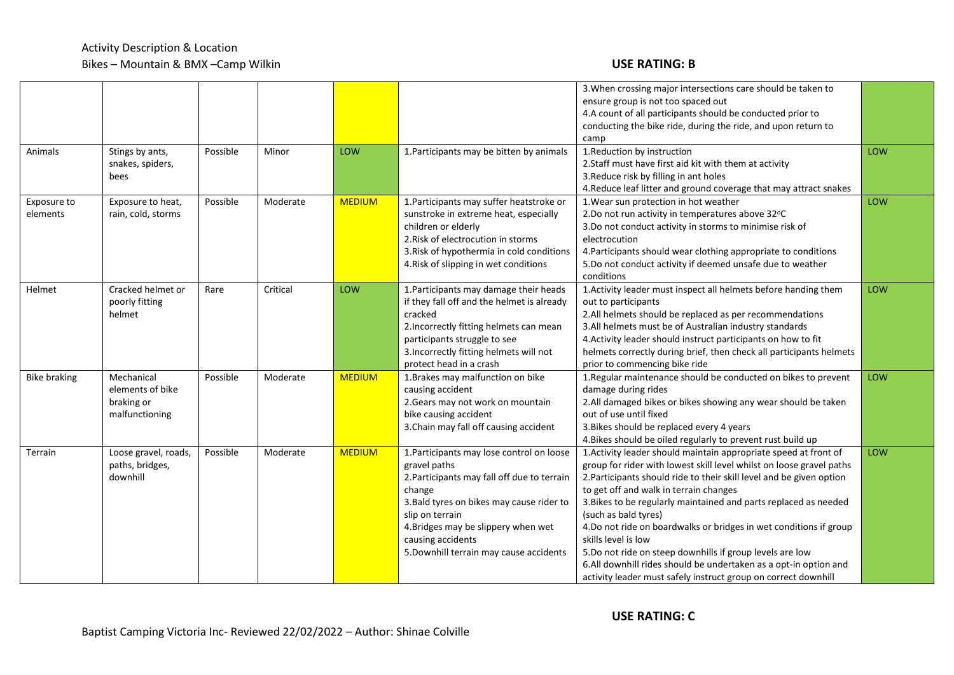## Activity Description & Location Bikes – Mountain & BMX –Camp Wilkin **USE RATING: B**

|                         |                                                                |          |          |               |                                                                                                                                                                                                                                                                                           | 3. When crossing major intersections care should be taken to<br>ensure group is not too spaced out<br>4.A count of all participants should be conducted prior to<br>conducting the bike ride, during the ride, and upon return to<br>camp                                                                                                                                                                                                                                                                                                                                                                                                            |     |
|-------------------------|----------------------------------------------------------------|----------|----------|---------------|-------------------------------------------------------------------------------------------------------------------------------------------------------------------------------------------------------------------------------------------------------------------------------------------|------------------------------------------------------------------------------------------------------------------------------------------------------------------------------------------------------------------------------------------------------------------------------------------------------------------------------------------------------------------------------------------------------------------------------------------------------------------------------------------------------------------------------------------------------------------------------------------------------------------------------------------------------|-----|
| Animals                 | Stings by ants,<br>snakes, spiders,<br>bees                    | Possible | Minor    | LOW           | 1. Participants may be bitten by animals                                                                                                                                                                                                                                                  | 1. Reduction by instruction<br>2. Staff must have first aid kit with them at activity<br>3. Reduce risk by filling in ant holes<br>4. Reduce leaf litter and ground coverage that may attract snakes                                                                                                                                                                                                                                                                                                                                                                                                                                                 | LOW |
| Exposure to<br>elements | Exposure to heat,<br>rain, cold, storms                        | Possible | Moderate | <b>MEDIUM</b> | 1. Participants may suffer heatstroke or<br>sunstroke in extreme heat, especially<br>children or elderly<br>2. Risk of electrocution in storms<br>3. Risk of hypothermia in cold conditions<br>4. Risk of slipping in wet conditions                                                      | 1. Wear sun protection in hot weather<br>2.Do not run activity in temperatures above 32°C<br>3.Do not conduct activity in storms to minimise risk of<br>electrocution<br>4. Participants should wear clothing appropriate to conditions<br>5.Do not conduct activity if deemed unsafe due to weather<br>conditions                                                                                                                                                                                                                                                                                                                                   | LOW |
| Helmet                  | Cracked helmet or<br>poorly fitting<br>helmet                  | Rare     | Critical | LOW           | 1. Participants may damage their heads<br>if they fall off and the helmet is already<br>cracked<br>2. Incorrectly fitting helmets can mean<br>participants struggle to see<br>3. Incorrectly fitting helmets will not<br>protect head in a crash                                          | 1. Activity leader must inspect all helmets before handing them<br>out to participants<br>2.All helmets should be replaced as per recommendations<br>3.All helmets must be of Australian industry standards<br>4. Activity leader should instruct participants on how to fit<br>helmets correctly during brief, then check all participants helmets<br>prior to commencing bike ride                                                                                                                                                                                                                                                                 | LOW |
| <b>Bike braking</b>     | Mechanical<br>elements of bike<br>braking or<br>malfunctioning | Possible | Moderate | <b>MEDIUM</b> | 1. Brakes may malfunction on bike<br>causing accident<br>2. Gears may not work on mountain<br>bike causing accident<br>3. Chain may fall off causing accident                                                                                                                             | 1. Regular maintenance should be conducted on bikes to prevent<br>damage during rides<br>2.All damaged bikes or bikes showing any wear should be taken<br>out of use until fixed<br>3. Bikes should be replaced every 4 years<br>4. Bikes should be oiled regularly to prevent rust build up                                                                                                                                                                                                                                                                                                                                                         | LOW |
| Terrain                 | Loose gravel, roads,<br>paths, bridges,<br>downhill            | Possible | Moderate | <b>MEDIUM</b> | 1. Participants may lose control on loose<br>gravel paths<br>2. Participants may fall off due to terrain<br>change<br>3. Bald tyres on bikes may cause rider to<br>slip on terrain<br>4. Bridges may be slippery when wet<br>causing accidents<br>5. Downhill terrain may cause accidents | 1. Activity leader should maintain appropriate speed at front of<br>group for rider with lowest skill level whilst on loose gravel paths<br>2. Participants should ride to their skill level and be given option<br>to get off and walk in terrain changes<br>3. Bikes to be regularly maintained and parts replaced as needed<br>(such as bald tyres)<br>4.Do not ride on boardwalks or bridges in wet conditions if group<br>skills level is low<br>5.Do not ride on steep downhills if group levels are low<br>6.All downhill rides should be undertaken as a opt-in option and<br>activity leader must safely instruct group on correct downhill | LOW |